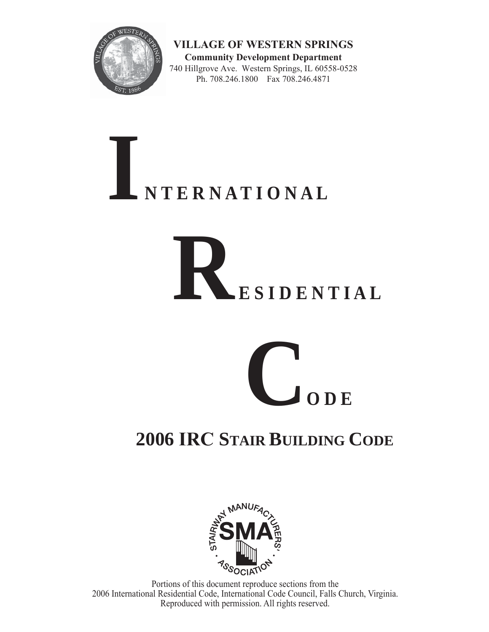

**VILLAGE OF WESTERN SPRINGS Community Development Department** 740 Hillgrove Ave. Western Springs, IL 60558-0528 Ph. 708.246.1800 Fax 708.246.4871

# **I N T E R N A T I O N A L**

# **R E S I D E N T I A L**



# **2006 IRC STAIR BUILDING CODE**



Portions of this document reproduce sections from the 2006 International Residential Code, International Code Council, Falls Church, Virginia. Reproduced with permission. All rights reserved.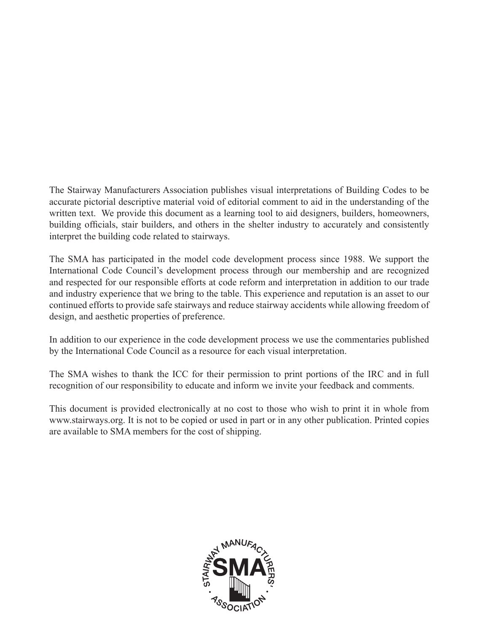The Stairway Manufacturers Association publishes visual interpretations of Building Codes to be accurate pictorial descriptive material void of editorial comment to aid in the understanding of the written text. We provide this document as a learning tool to aid designers, builders, homeowners, building officials, stair builders, and others in the shelter industry to accurately and consistently interpret the building code related to stairways.

The SMA has participated in the model code development process since 1988. We support the International Code Council's development process through our membership and are recognized and respected for our responsible efforts at code reform and interpretation in addition to our trade and industry experience that we bring to the table. This experience and reputation is an asset to our continued efforts to provide safe stairways and reduce stairway accidents while allowing freedom of design, and aesthetic properties of preference.

In addition to our experience in the code development process we use the commentaries published by the International Code Council as a resource for each visual interpretation.

The SMA wishes to thank the ICC for their permission to print portions of the IRC and in full recognition of our responsibility to educate and inform we invite your feedback and comments.

This document is provided electronically at no cost to those who wish to print it in whole from www.stairways.org. It is not to be copied or used in part or in any other publication. Printed copies are available to SMA members for the cost of shipping.

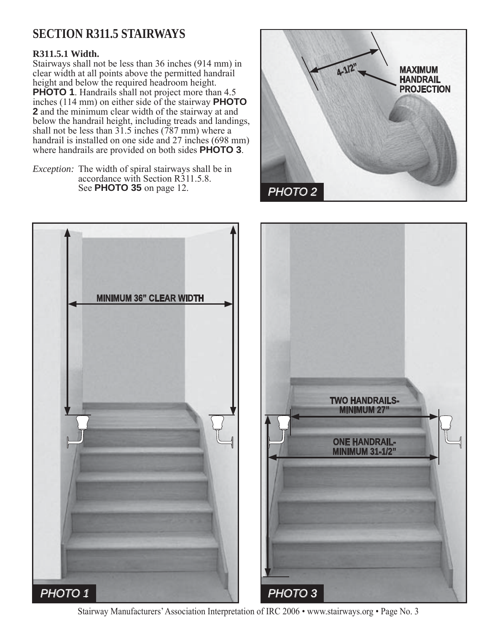# **SECTION R311.5 STAIRWAYS**

#### **R311.5.1 Width.**

Stairways shall not be less than 36 inches (914 mm) in clear width at all points above the permitted handrail height and below the required headroom height. **PHOTO 1**. Handrails shall not project more than 4.5 inches (114 mm) on either side of the stairway **PHOTO 2** and the minimum clear width of the stairway at and below the handrail height, including treads and landings, shall not be less than  $31.5$  inches (787 mm) where a handrail is installed on one side and 27 inches (698 mm) where handrails are provided on both sides **PHOTO 3**.

*Exception:* The width of spiral stairways shall be in accordance with Section R311.5.8. See **PHOTO 35** on page 12.





Stairway Manufacturers' Association Interpretation of IRC 2006 • www.stairways.org • Page No. 3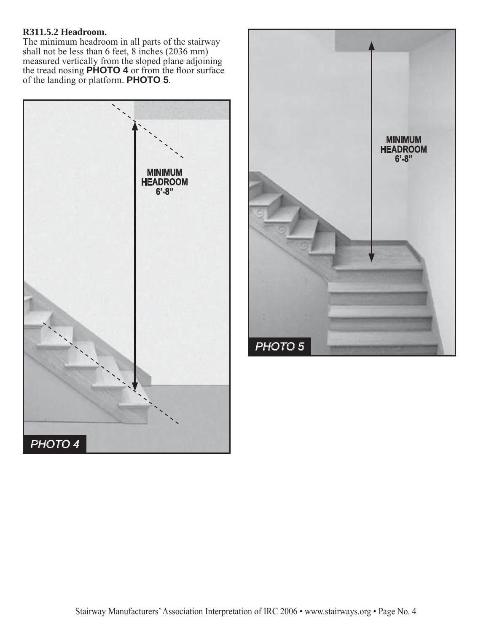#### **R311.5.2 Headroom.**

The minimum headroom in all parts of the stairway shall not be less than 6 feet, 8 inches (2036 mm) measured vertically from the sloped plane adjoining the tread nosing **PHOTO 4** or from the floor surface of the landing or platform. **PHOTO 5**.



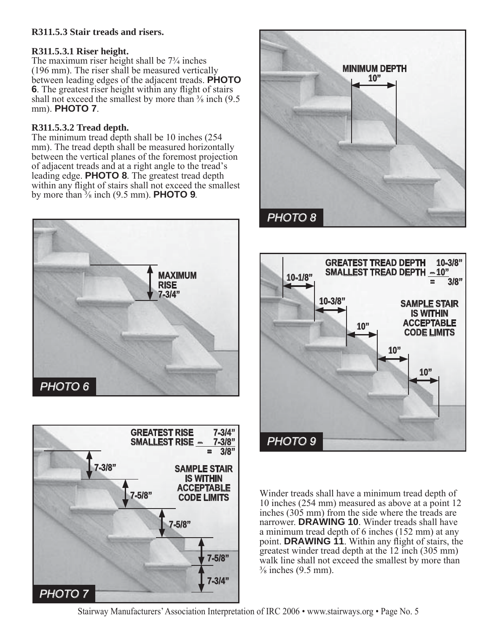#### **R311.5.3 Stair treads and risers.**

#### **R311.5.3.1 Riser height.**

The maximum riser height shall be 7¾ inches (196 mm). The riser shall be measured vertically between leading edges of the adjacent treads. **PHOTO 6**. The greatest riser height within any flight of stairs shall not exceed the smallest by more than  $\frac{3}{8}$  inch (9.5) mm). **PHOTO 7**.

#### **R311.5.3.2 Tread depth.**

The minimum tread depth shall be 10 inches (254 mm). The tread depth shall be measured horizontally between the vertical planes of the foremost projection of adjacent treads and at a right angle to the tread's leading edge. **PHOTO 8**. The greatest tread depth within any flight of stairs shall not exceed the smallest by more than ⅜ inch (9.5 mm). **PHOTO 9**.









Winder treads shall have a minimum tread depth of 10 inches (254 mm) measured as above at a point 12 inches (305 mm) from the side where the treads are narrower. **DRAWING 10**. Winder treads shall have a minimum tread depth of 6 inches (152 mm) at any point. **DRAWING 11**. Within any flight of stairs, the greatest winder tread depth at the 12 inch (305 mm) walk line shall not exceed the smallest by more than  $\frac{3}{8}$  inches (9.5 mm).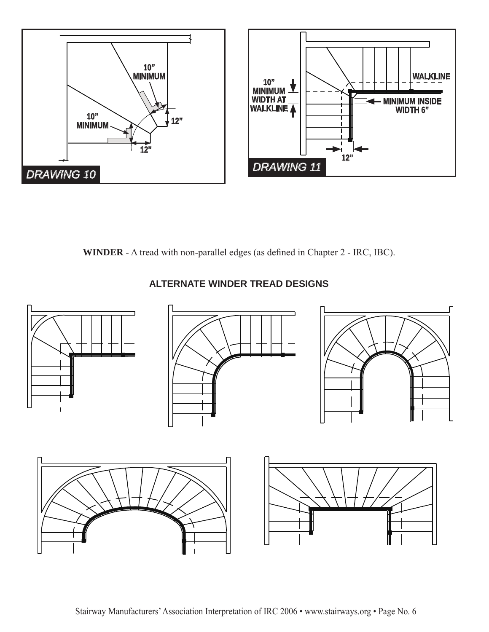

**WINDER** - A tread with non-parallel edges (as defined in Chapter 2 - IRC, IBC).



#### **ALTERNATE WINDER TREAD DESIGNS**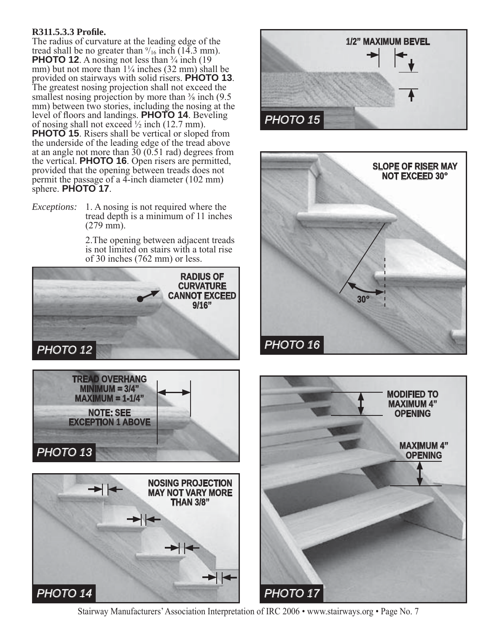#### **R311.5.3.3 Profile.**

The radius of curvature at the leading edge of the tread shall be no greater than  $\frac{9}{16}$  inch (14.3 mm). **PHOTO 12**. A nosing not less than <sup>3</sup>/<sub>4</sub> inch (19) mm) but not more than  $1\frac{1}{4}$  inches (32 mm) shall be provided on stairways with solid risers. **PHOTO 13**. The greatest nosing projection shall not exceed the smallest nosing projection by more than  $\frac{3}{8}$  inch (9.5) mm) between two stories, including the nosing at the level of floors and landings. **PHOTO 14**. Beveling of nosing shall not exceed  $\frac{1}{2}$  inch (12.7 mm). **PHOTO 15**. Risers shall be vertical or sloped from the underside of the leading edge of the tread above at an angle not more than  $30(0.51 \text{ rad})$  degrees from the vertical. **PHOTO 16**. Open risers are permitted, provided that the opening between treads does not permit the passage of a 4-inch diameter (102 mm) sphere. **PHOTO 17**.

*Exceptions:* 1. A nosing is not required where the tread depth is a minimum of 11 inches (279 mm).

> 2.The opening between adjacent treads is not limited on stairs with a total rise of 30 inches (762 mm) or less.











Stairway Manufacturers' Association Interpretation of IRC 2006 • www.stairways.org • Page No. 7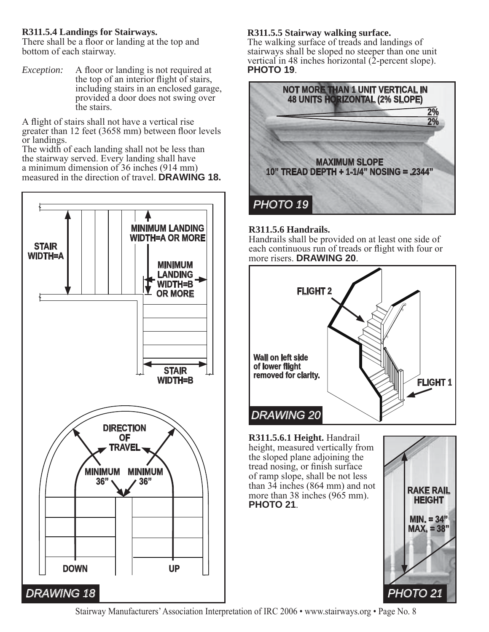#### **R311.5.4 Landings for Stairways.**

There shall be a floor or landing at the top and bottom of each stairway.

*Exception:* A floor or landing is not required at the top of an interior flight of stairs, including stairs in an enclosed garage, provided a door does not swing over the stairs.

A flight of stairs shall not have a vertical rise greater than 12 feet (3658 mm) between floor levels or landings.

The width of each landing shall not be less than the stairway served. Every landing shall have a minimum dimension of 36 inches (914 mm) measured in the direction of travel. **DRAWING 18.**



#### **R311.5.5 Stairway walking surface.**

The walking surface of treads and landings of stairways shall be sloped no steeper than one unit vertical in 48 inches horizontal (2-percent slope). **PHOTO 19**.



#### **R311.5.6 Handrails.**

Handrails shall be provided on at least one side of each continuous run of treads or flight with four or more risers. **DRAWING 20**.



#### **R311.5.6.1 Height.** Handrail height, measured vertically from the sloped plane adjoining the tread nosing, or finish surface of ramp slope, shall be not less than 34 inches (864 mm) and not more than 38 inches (965 mm). **PHOTO 21**.

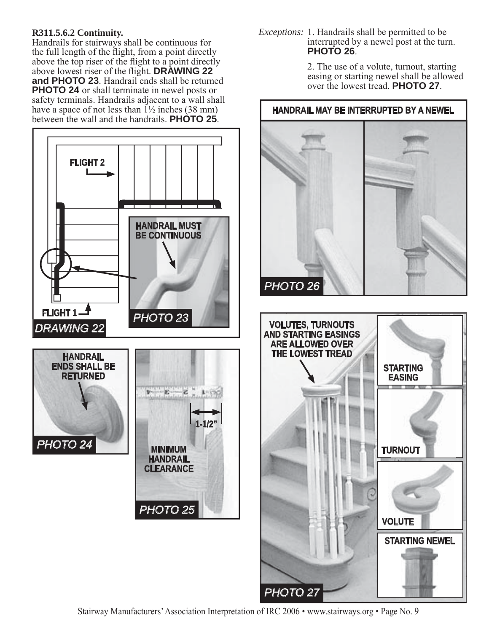#### **R311.5.6.2 Continuity.**

Handrails for stairways shall be continuous for the full length of the flight, from a point directly above the top riser of the flight to a point directly above lowest riser of the flight. **DRAWING 22 and PHOTO 23**. Handrail ends shall be returned **PHOTO 24** or shall terminate in newel posts or safety terminals. Handrails adjacent to a wall shall have a space of not less than  $1\frac{1}{2}$  inches (38 mm) between the wall and the handrails. **PHOTO 25**.



*Exceptions:* 1. Handrails shall be permitted to be interrupted by a newel post at the turn. **PHOTO 26**.

> 2. The use of a volute, turnout, starting easing or starting newel shall be allowed over the lowest tread. **PHOTO 27**.

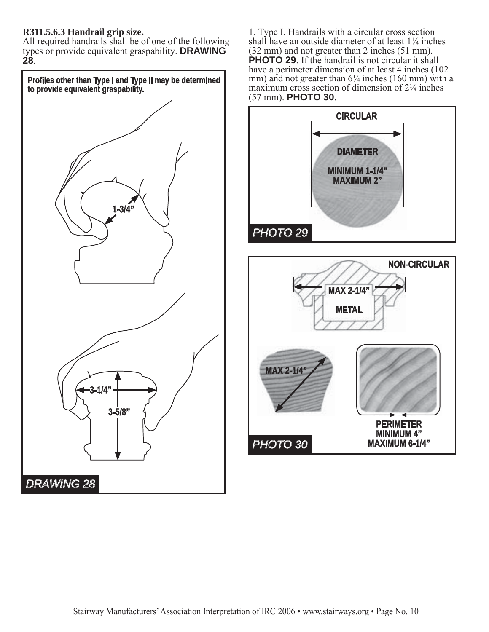#### **R311.5.6.3 Handrail grip size.**

All required handrails shall be of one of the following types or provide equivalent graspability. **DRAWING 28**.



1. Type I. Handrails with a circular cross section shall have an outside diameter of at least  $1\frac{1}{4}$  inches (32 mm) and not greater than 2 inches (51 mm). **PHOTO 29**. If the handrail is not circular it shall have a perimeter dimension of at least 4 inches (102) mm) and not greater than  $6\frac{1}{4}$  inches (160 mm) with a maximum cross section of dimension of 2¼ inches (57 mm). **PHOTO 30**.

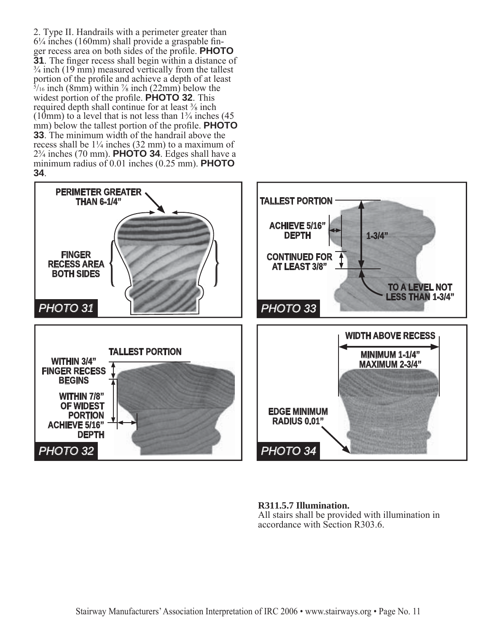2. Type II. Handrails with a perimeter greater than  $6\frac{1}{4}$  inches (160mm) shall provide a graspable finger recess area on both sides of the profile. **PHOTO 31**. The finger recess shall begin within a distance of  $\frac{3}{4}$  inch (19 mm) measured vertically from the tallest portion of the profile and achieve a depth of at least  $\frac{5}{16}$  inch (8mm) within  $\frac{7}{8}$  inch (22mm) below the widest portion of the profile. **PHOTO 32**. This required depth shall continue for at least  $\frac{3}{8}$  inch (10mm) to a level that is not less than  $1\frac{3}{4}$  inches (45) mm) below the tallest portion of the profile. **PHOTO 33**. The minimum width of the handrail above the recess shall be  $1\frac{1}{4}$  inches (32 mm) to a maximum of 2¾ inches (70 mm). **PHOTO 34**. Edges shall have a minimum radius of 0.01 inches (0.25 mm). **PHOTO 34**.



**R311.5.7 Illumination.**

All stairs shall be provided with illumination in accordance with Section R303.6.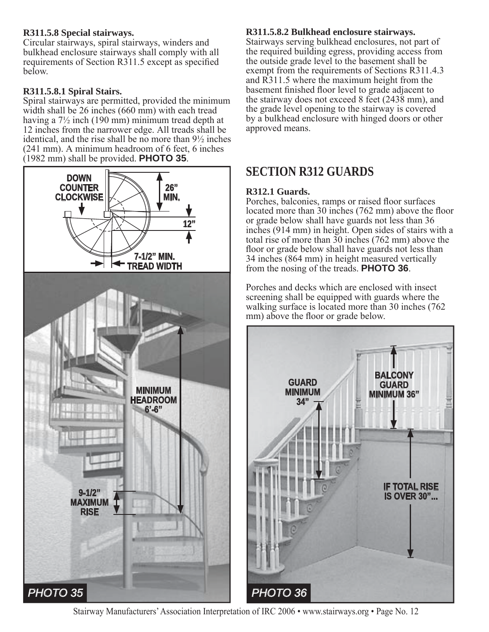#### **R311.5.8 Special stairways.**

Circular stairways, spiral stairways, winders and bulkhead enclosure stairways shall comply with all requirements of Section R311.5 except as specified below.

#### **R311.5.8.1 Spiral Stairs.**

Spiral stairways are permitted, provided the minimum width shall be 26 inches (660 mm) with each tread having a 7½ inch (190 mm) minimum tread depth at 12 inches from the narrower edge. All treads shall be identical, and the rise shall be no more than 9½ inches (241 mm). A minimum headroom of 6 feet, 6 inches (1982 mm) shall be provided. **PHOTO 35**.



#### **R311.5.8.2 Bulkhead enclosure stairways.**

Stairways serving bulkhead enclosures, not part of the required building egress, providing access from the outside grade level to the basement shall be exempt from the requirements of Sections R311.4.3 and R311.5 where the maximum height from the basement finished floor level to grade adjacent to the stairway does not exceed 8 feet (2438 mm), and the grade level opening to the stairway is covered by a bulkhead enclosure with hinged doors or other approved means.

## **SECTION R312 GUARDS**

#### **R312.1 Guards.**

Porches, balconies, ramps or raised floor surfaces located more than 30 inches (762 mm) above the floor or grade below shall have guards not less than 36 inches (914 mm) in height. Open sides of stairs with a total rise of more than 30 inches (762 mm) above the floor or grade below shall have guards not less than 34 inches (864 mm) in height measured vertically from the nosing of the treads. **PHOTO 36**.

Porches and decks which are enclosed with insect screening shall be equipped with guards where the walking surface is located more than 30 inches (762 mm) above the floor or grade below.



Stairway Manufacturers' Association Interpretation of IRC 2006 • www.stairways.org • Page No. 12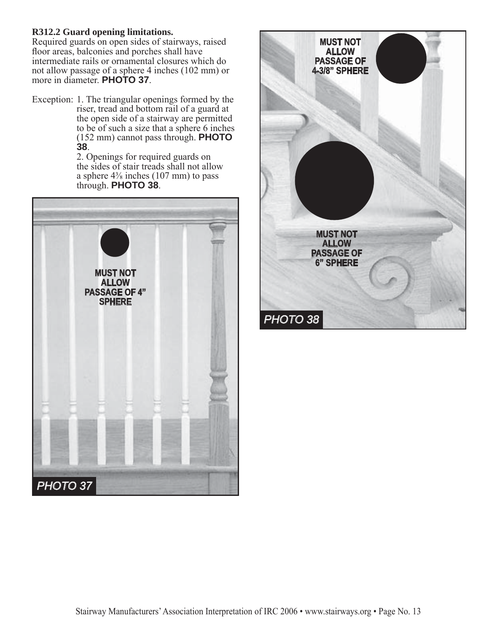#### **R312.2 Guard opening limitations.**

Required guards on open sides of stairways, raised floor areas, balconies and porches shall have intermediate rails or ornamental closures which do not allow passage of a sphere 4 inches (102 mm) or more in diameter. **PHOTO 37**.

Exception: 1. The triangular openings formed by the riser, tread and bottom rail of a guard at the open side of a stairway are permitted to be of such a size that a sphere 6 inches (152 mm) cannot pass through. **PHOTO** 

**<sup>38</sup>**. 2. Openings for required guards on the sides of stair treads shall not allow a sphere  $4\frac{3}{8}$  inches (107 mm) to pass through. **PHOTO 38**.



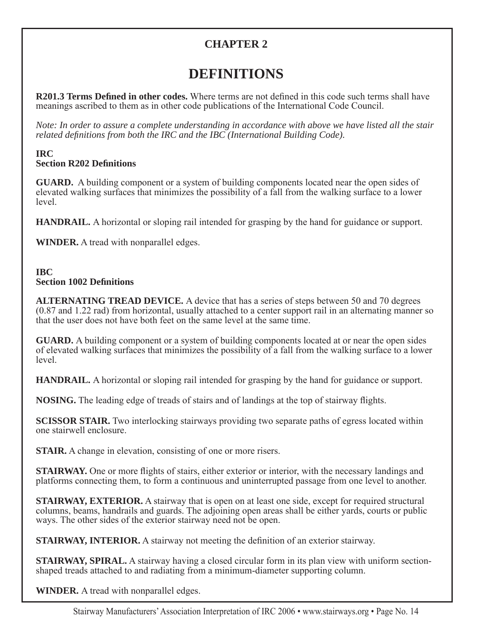### **CHAPTER 2**

# **DEFINITIONS**

**R201.3 Terms Defined in other codes.** Where terms are not defined in this code such terms shall have meanings ascribed to them as in other code publications of the International Code Council.

*Note: In order to assure a complete understanding in accordance with above we have listed all the stair related definitions from both the IRC and the IBC (International Building Code).* 

#### **IRC Section R202 Definitions**

**GUARD.** A building component or a system of building components located near the open sides of elevated walking surfaces that minimizes the possibility of a fall from the walking surface to a lower level.

**HANDRAIL.** A horizontal or sloping rail intended for grasping by the hand for guidance or support.

**WINDER.** A tread with nonparallel edges.

#### **IBC Section 1002 Definitions**

**ALTERNATING TREAD DEVICE.** A device that has a series of steps between 50 and 70 degrees (0.87 and 1.22 rad) from horizontal, usually attached to a center support rail in an alternating manner so that the user does not have both feet on the same level at the same time.

**GUARD.** A building component or a system of building components located at or near the open sides of elevated walking surfaces that minimizes the possibility of a fall from the walking surface to a lower level.

**HANDRAIL.** A horizontal or sloping rail intended for grasping by the hand for guidance or support.

**NOSING.** The leading edge of treads of stairs and of landings at the top of stairway flights.

**SCISSOR STAIR.** Two interlocking stairways providing two separate paths of egress located within one stairwell enclosure.

**STAIR.** A change in elevation, consisting of one or more risers.

**STAIRWAY.** One or more flights of stairs, either exterior or interior, with the necessary landings and platforms connecting them, to form a continuous and uninterrupted passage from one level to another.

**STAIRWAY, EXTERIOR.** A stairway that is open on at least one side, except for required structural columns, beams, handrails and guards. The adjoining open areas shall be either yards, courts or public ways. The other sides of the exterior stairway need not be open.

**STAIRWAY, INTERIOR.** A stairway not meeting the definition of an exterior stairway.

**STAIRWAY, SPIRAL.** A stairway having a closed circular form in its plan view with uniform sectionshaped treads attached to and radiating from a minimum-diameter supporting column.

**WINDER.** A tread with nonparallel edges.